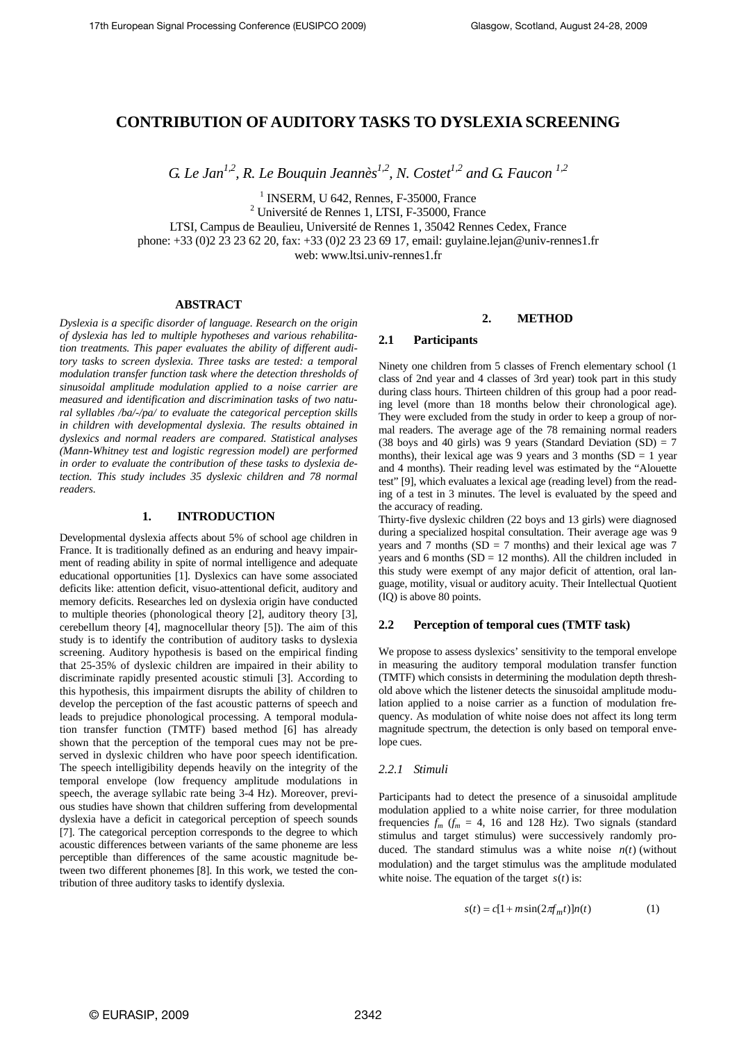# **CONTRIBUTION OF AUDITORY TASKS TO DYSLEXIA SCREENING**

*G. Le Jan<sup>1,2</sup>, R. Le Bouquin Jeannès<sup>1,2</sup>, N. Costet<sup>1,2</sup> and G. Faucon<sup>1,2</sup>* 

<sup>1</sup> INSERM, U 642, Rennes, F-35000, France  $^{2}$  Université de Bonnes 1, UTSL E 25000, France

Université de Rennes 1, LTSI, F-35000, France

LTSI, Campus de Beaulieu, Université de Rennes 1, 35042 Rennes Cedex, France

phone: +33 (0)2 23 23 62 20, fax: +33 (0)2 23 23 69 17, email: guylaine.lejan@univ-rennes1.fr

web: www.ltsi.univ-rennes1.fr

### **ABSTRACT**

*Dyslexia is a specific disorder of language. Research on the origin of dyslexia has led to multiple hypotheses and various rehabilitation treatments. This paper evaluates the ability of different auditory tasks to screen dyslexia. Three tasks are tested: a temporal modulation transfer function task where the detection thresholds of sinusoidal amplitude modulation applied to a noise carrier are measured and identification and discrimination tasks of two natural syllables /ba/-/pa/ to evaluate the categorical perception skills in children with developmental dyslexia. The results obtained in dyslexics and normal readers are compared. Statistical analyses (Mann-Whitney test and logistic regression model) are performed in order to evaluate the contribution of these tasks to dyslexia detection. This study includes 35 dyslexic children and 78 normal readers.* 

### **1. INTRODUCTION**

Developmental dyslexia affects about 5% of school age children in France. It is traditionally defined as an enduring and heavy impairment of reading ability in spite of normal intelligence and adequate educational opportunities [1]. Dyslexics can have some associated deficits like: attention deficit, visuo-attentional deficit, auditory and memory deficits. Researches led on dyslexia origin have conducted to multiple theories (phonological theory [2], auditory theory [3], cerebellum theory [4], magnocellular theory [5]). The aim of this study is to identify the contribution of auditory tasks to dyslexia screening. Auditory hypothesis is based on the empirical finding that 25-35% of dyslexic children are impaired in their ability to discriminate rapidly presented acoustic stimuli [3]. According to this hypothesis, this impairment disrupts the ability of children to develop the perception of the fast acoustic patterns of speech and leads to prejudice phonological processing. A temporal modulation transfer function (TMTF) based method [6] has already shown that the perception of the temporal cues may not be preserved in dyslexic children who have poor speech identification. The speech intelligibility depends heavily on the integrity of the temporal envelope (low frequency amplitude modulations in speech, the average syllabic rate being 3-4 Hz). Moreover, previous studies have shown that children suffering from developmental dyslexia have a deficit in categorical perception of speech sounds [7]. The categorical perception corresponds to the degree to which acoustic differences between variants of the same phoneme are less perceptible than differences of the same acoustic magnitude between two different phonemes [8]. In this work, we tested the contribution of three auditory tasks to identify dyslexia.

### **2. METHOD**

# **2.1 Participants**

Ninety one children from 5 classes of French elementary school (1 class of 2nd year and 4 classes of 3rd year) took part in this study during class hours. Thirteen children of this group had a poor reading level (more than 18 months below their chronological age). They were excluded from the study in order to keep a group of normal readers. The average age of the 78 remaining normal readers (38 boys and 40 girls) was 9 years (Standard Deviation  $(SD) = 7$ months), their lexical age was 9 years and 3 months  $(SD = 1$  year and 4 months). Their reading level was estimated by the "Alouette test" [9], which evaluates a lexical age (reading level) from the reading of a test in 3 minutes. The level is evaluated by the speed and the accuracy of reading.

Thirty-five dyslexic children (22 boys and 13 girls) were diagnosed during a specialized hospital consultation. Their average age was 9 years and 7 months ( $SD = 7$  months) and their lexical age was 7 years and 6 months ( $SD = 12$  months). All the children included in this study were exempt of any major deficit of attention, oral language, motility, visual or auditory acuity. Their Intellectual Quotient (IQ) is above 80 points.

### **2.2 Perception of temporal cues (TMTF task)**

We propose to assess dyslexics' sensitivity to the temporal envelope in measuring the auditory temporal modulation transfer function (TMTF) which consists in determining the modulation depth threshold above which the listener detects the sinusoidal amplitude modulation applied to a noise carrier as a function of modulation frequency. As modulation of white noise does not affect its long term magnitude spectrum, the detection is only based on temporal envelope cues.

#### *2.2.1 Stimuli*

Participants had to detect the presence of a sinusoidal amplitude modulation applied to a white noise carrier, for three modulation frequencies  $f_m$  ( $f_m$  = 4, 16 and 128 Hz). Two signals (standard stimulus and target stimulus) were successively randomly produced. The standard stimulus was a white noise  $n(t)$  (without modulation) and the target stimulus was the amplitude modulated white noise. The equation of the target  $s(t)$  is:

$$
s(t) = c[1 + m\sin(2\pi t)]n(t)
$$
 (1)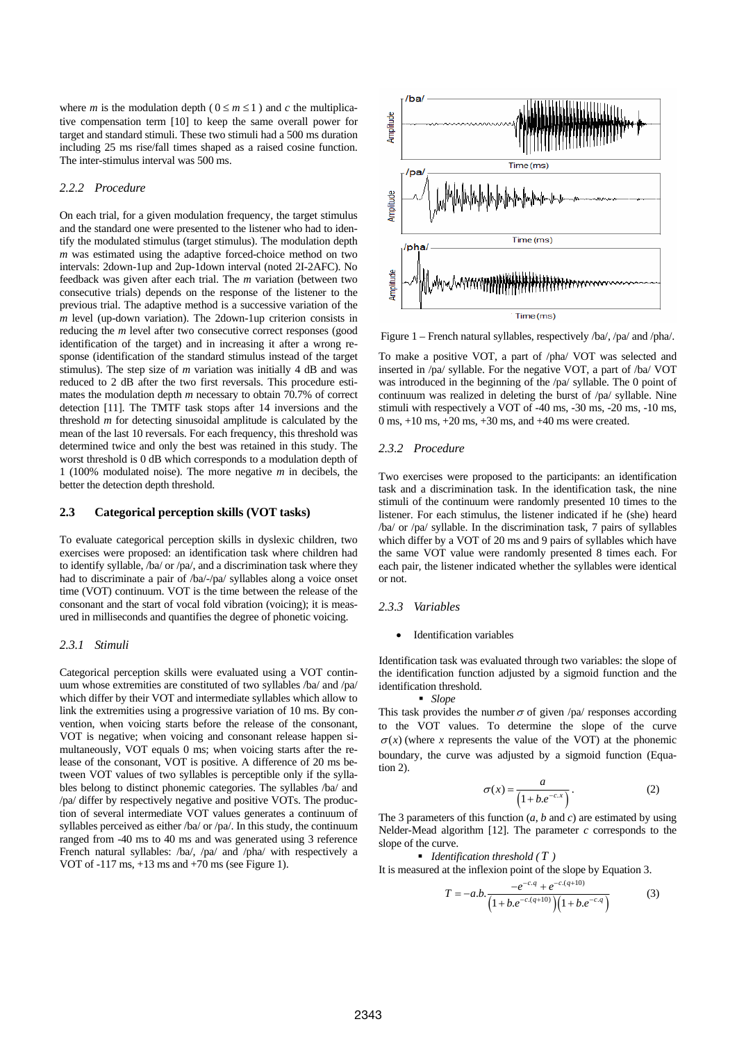where *m* is the modulation depth ( $0 \le m \le 1$ ) and *c* the multiplicative compensation term [10] to keep the same overall power for target and standard stimuli. These two stimuli had a 500 ms duration including 25 ms rise/fall times shaped as a raised cosine function. The inter-stimulus interval was 500 ms.

### *2.2.2 Procedure*

On each trial, for a given modulation frequency, the target stimulus and the standard one were presented to the listener who had to identify the modulated stimulus (target stimulus). The modulation depth *m* was estimated using the adaptive forced-choice method on two intervals: 2down-1up and 2up-1down interval (noted 2I-2AFC). No feedback was given after each trial. The *m* variation (between two consecutive trials) depends on the response of the listener to the previous trial. The adaptive method is a successive variation of the *m* level (up-down variation). The 2down-1up criterion consists in reducing the *m* level after two consecutive correct responses (good identification of the target) and in increasing it after a wrong response (identification of the standard stimulus instead of the target stimulus). The step size of *m* variation was initially 4 dB and was reduced to 2 dB after the two first reversals. This procedure estimates the modulation depth *m* necessary to obtain 70.7% of correct detection [11]. The TMTF task stops after 14 inversions and the threshold *m* for detecting sinusoidal amplitude is calculated by the mean of the last 10 reversals. For each frequency, this threshold was determined twice and only the best was retained in this study. The worst threshold is 0 dB which corresponds to a modulation depth of 1 (100% modulated noise). The more negative *m* in decibels, the better the detection depth threshold.

### **2.3 Categorical perception skills (VOT tasks)**

To evaluate categorical perception skills in dyslexic children, two exercises were proposed: an identification task where children had to identify syllable, /ba/ or /pa/, and a discrimination task where they had to discriminate a pair of /ba/-/pa/ syllables along a voice onset time (VOT) continuum. VOT is the time between the release of the consonant and the start of vocal fold vibration (voicing); it is measured in milliseconds and quantifies the degree of phonetic voicing.

#### *2.3.1 Stimuli*

Categorical perception skills were evaluated using a VOT continuum whose extremities are constituted of two syllables /ba/ and /pa/ which differ by their VOT and intermediate syllables which allow to link the extremities using a progressive variation of 10 ms. By convention, when voicing starts before the release of the consonant, VOT is negative; when voicing and consonant release happen simultaneously, VOT equals 0 ms; when voicing starts after the release of the consonant, VOT is positive. A difference of 20 ms between VOT values of two syllables is perceptible only if the syllables belong to distinct phonemic categories. The syllables /ba/ and /pa/ differ by respectively negative and positive VOTs. The production of several intermediate VOT values generates a continuum of syllables perceived as either /ba/ or /pa/. In this study, the continuum ranged from -40 ms to 40 ms and was generated using 3 reference French natural syllables: /ba/, /pa/ and /pha/ with respectively a VOT of  $-117$  ms,  $+13$  ms and  $+70$  ms (see Figure 1).



Figure 1 – French natural syllables, respectively /ba/, /pa/ and /pha/.

To make a positive VOT, a part of /pha/ VOT was selected and inserted in /pa/ syllable. For the negative VOT, a part of /ba/ VOT was introduced in the beginning of the /pa/ syllable. The 0 point of continuum was realized in deleting the burst of /pa/ syllable. Nine stimuli with respectively a VOT of -40 ms, -30 ms, -20 ms, -10 ms, 0 ms, +10 ms, +20 ms, +30 ms, and +40 ms were created.

### *2.3.2 Procedure*

Two exercises were proposed to the participants: an identification task and a discrimination task. In the identification task, the nine stimuli of the continuum were randomly presented 10 times to the listener. For each stimulus, the listener indicated if he (she) heard /ba/ or /pa/ syllable. In the discrimination task, 7 pairs of syllables which differ by a VOT of 20 ms and 9 pairs of syllables which have the same VOT value were randomly presented 8 times each. For each pair, the listener indicated whether the syllables were identical or not.

#### *2.3.3 Variables*

**Identification** variables

Identification task was evaluated through two variables: the slope of the identification function adjusted by a sigmoid function and the identification threshold.

$$
\blacksquare
$$
 Slope

This task provides the number  $\sigma$  of given /pa/ responses according to the VOT values. To determine the slope of the curve  $\sigma(x)$  (where *x* represents the value of the VOT) at the phonemic boundary, the curve was adjusted by a sigmoid function (Equation 2).

$$
\sigma(x) = \frac{a}{\left(1 + b.e^{-c.x}\right)}.
$$
 (2)

The 3 parameters of this function (*a*, *b* and *c*) are estimated by using Nelder-Mead algorithm [12]. The parameter *c* corresponds to the slope of the curve.

*Identification threshold (T )* 

It is measured at the inflexion point of the slope by Equation 3.

$$
T = -a.b.\frac{-e^{-c.q} + e^{-c.(q+10)}}{(-10)(-10)(-10)}
$$

$$
= -a.b. \frac{-e^{-c.q} + e^{-c.(q+10)}}{\left(1 + b.e^{-c.(q+10)}\right)\left(1 + b.e^{-c.q}\right)}
$$
(3)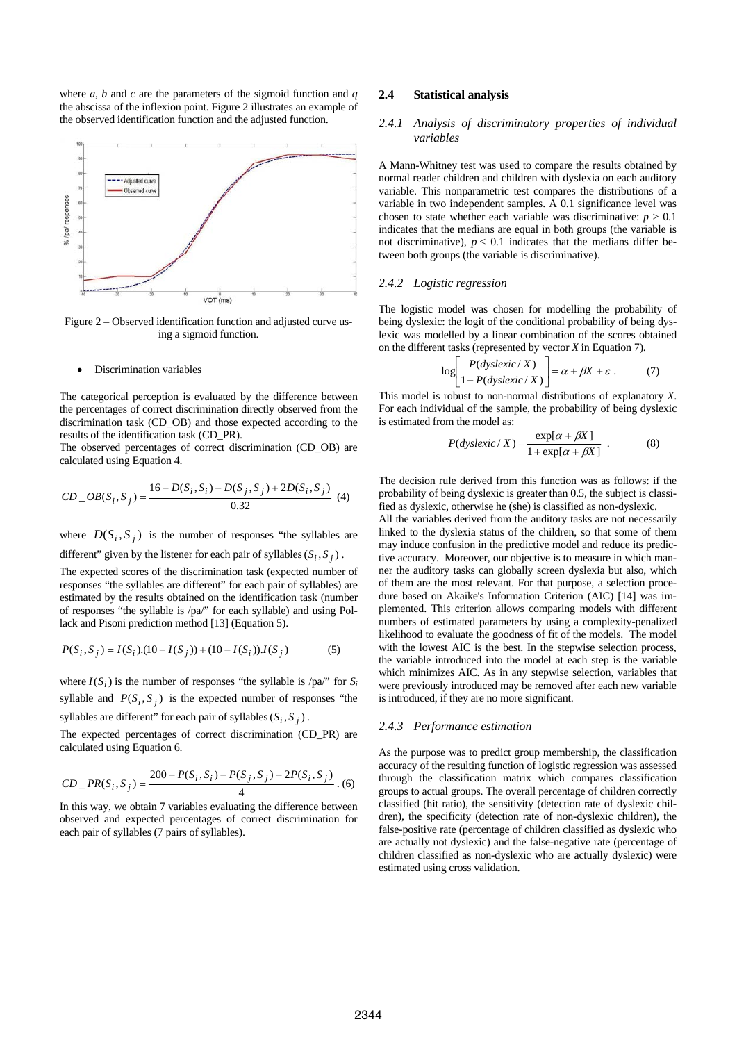where *a*, *b* and *c* are the parameters of the sigmoid function and *q* the abscissa of the inflexion point. Figure 2 illustrates an example of the observed identification function and the adjusted function.



Figure 2 – Observed identification function and adjusted curve using a sigmoid function.

#### • Discrimination variables

The categorical perception is evaluated by the difference between the percentages of correct discrimination directly observed from the discrimination task (CD\_OB) and those expected according to the results of the identification task (CD\_PR).

The observed percentages of correct discrimination (CD\_OB) are calculated using Equation 4.

$$
CD\_OB(S_i, S_j) = \frac{16 - D(S_i, S_i) - D(S_j, S_j) + 2D(S_i, S_j)}{0.32}
$$
(4)

where  $D(S_i, S_j)$  is the number of responses "the syllables are different" given by the listener for each pair of syllables  $(S_i, S_j)$ .

The expected scores of the discrimination task (expected number of responses "the syllables are different" for each pair of syllables) are estimated by the results obtained on the identification task (number of responses "the syllable is /pa/" for each syllable) and using Pollack and Pisoni prediction method [13] (Equation 5).

$$
P(S_i, S_j) = I(S_i).(10 - I(S_j)) + (10 - I(S_i))I(S_j)
$$
 (5)

where  $I(S_i)$  is the number of responses "the syllable is /pa/" for  $S_i$ syllable and  $P(S_i, S_j)$  is the expected number of responses "the syllables are different" for each pair of syllables  $(S_i, S_j)$ .

The expected percentages of correct discrimination (CD\_PR) are calculated using Equation 6.

$$
CD \_PR(S_i, S_j) = \frac{200 - P(S_i, S_i) - P(S_j, S_j) + 2P(S_i, S_j)}{4} \,.\,(6)
$$

In this way, we obtain 7 variables evaluating the difference between observed and expected percentages of correct discrimination for each pair of syllables (7 pairs of syllables).

#### **2.4 Statistical analysis**

### *2.4.1 Analysis of discriminatory properties of individual variables*

A Mann-Whitney test was used to compare the results obtained by normal reader children and children with dyslexia on each auditory variable. This nonparametric test compares the distributions of a variable in two independent samples. A 0.1 significance level was chosen to state whether each variable was discriminative:  $p > 0.1$ indicates that the medians are equal in both groups (the variable is not discriminative),  $p < 0.1$  indicates that the medians differ between both groups (the variable is discriminative).

# *2.4.2 Logistic regression*

The logistic model was chosen for modelling the probability of being dyslexic: the logit of the conditional probability of being dyslexic was modelled by a linear combination of the scores obtained on the different tasks (represented by vector *X* in Equation 7).

$$
\log \left[ \frac{P(dyslexic / X)}{1 - P(dyslexic / X)} \right] = \alpha + \beta X + \varepsilon . \tag{7}
$$

This model is robust to non-normal distributions of explanatory *X*. For each individual of the sample, the probability of being dyslexic is estimated from the model as:

$$
P(dyslexic / X) = \frac{\exp[\alpha + \beta X]}{1 + \exp[\alpha + \beta X]} \tag{8}
$$

The decision rule derived from this function was as follows: if the probability of being dyslexic is greater than 0.5, the subject is classified as dyslexic, otherwise he (she) is classified as non-dyslexic.

All the variables derived from the auditory tasks are not necessarily linked to the dyslexia status of the children, so that some of them may induce confusion in the predictive model and reduce its predictive accuracy. Moreover, our objective is to measure in which manner the auditory tasks can globally screen dyslexia but also, which of them are the most relevant. For that purpose, a selection procedure based on Akaike's Information Criterion (AIC) [14] was implemented. This criterion allows comparing models with different numbers of estimated parameters by using a complexity-penalized likelihood to evaluate the goodness of fit of the models. The model with the lowest AIC is the best. In the stepwise selection process, the variable introduced into the model at each step is the variable which minimizes AIC. As in any stepwise selection, variables that were previously introduced may be removed after each new variable is introduced, if they are no more significant.

#### *2.4.3 Performance estimation*

As the purpose was to predict group membership, the classification accuracy of the resulting function of logistic regression was assessed through the classification matrix which compares classification groups to actual groups. The overall percentage of children correctly classified (hit ratio), the sensitivity (detection rate of dyslexic children), the specificity (detection rate of non-dyslexic children), the false-positive rate (percentage of children classified as dyslexic who are actually not dyslexic) and the false-negative rate (percentage of children classified as non-dyslexic who are actually dyslexic) were estimated using cross validation.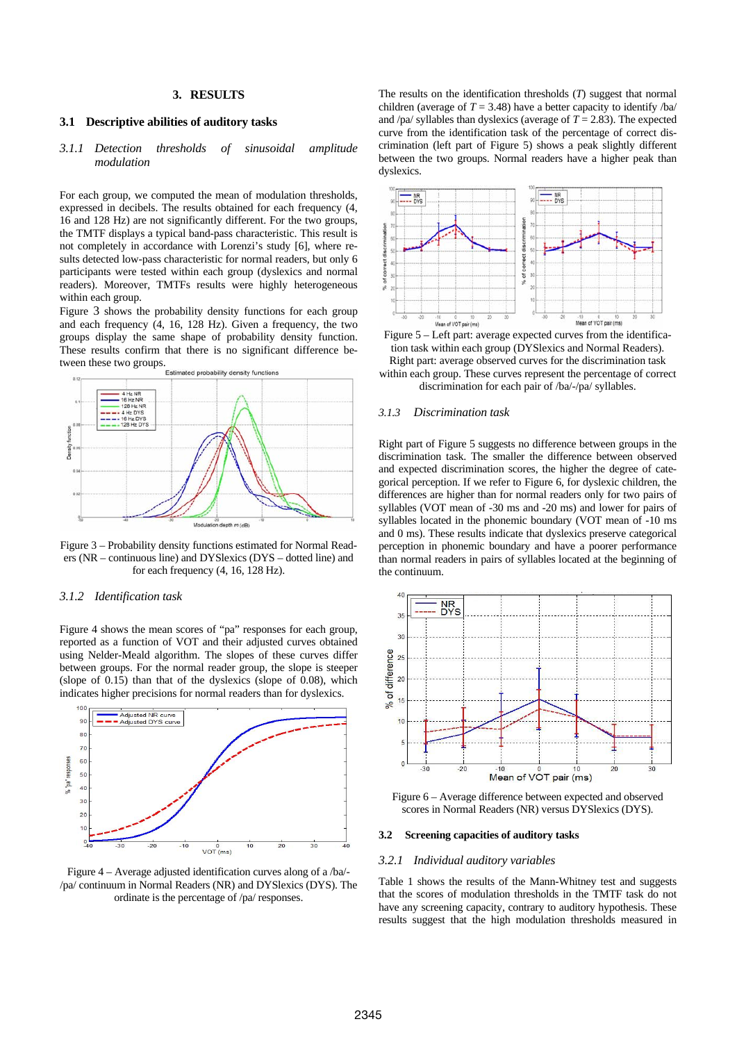## **3. RESULTS**

## **3.1 Descriptive abilities of auditory tasks**

### *3.1.1 Detection thresholds of sinusoidal amplitude modulation*

For each group, we computed the mean of modulation thresholds, expressed in decibels. The results obtained for each frequency (4, 16 and 128 Hz) are not significantly different. For the two groups, the TMTF displays a typical band-pass characteristic. This result is not completely in accordance with Lorenzi's study [6], where results detected low-pass characteristic for normal readers, but only 6 participants were tested within each group (dyslexics and normal readers). Moreover, TMTFs results were highly heterogeneous within each group.

Figure 3 shows the probability density functions for each group and each frequency (4, 16, 128 Hz). Given a frequency, the two groups display the same shape of probability density function. These results confirm that there is no significant difference between these two groups.<br> **Estimated probability density functions** 



Figure 3 – Probability density functions estimated for Normal Readers (NR – continuous line) and DYSlexics (DYS – dotted line) and for each frequency (4, 16, 128 Hz).

#### *3.1.2 Identification task*

Figure 4 shows the mean scores of "pa" responses for each group, reported as a function of VOT and their adjusted curves obtained using Nelder-Meald algorithm. The slopes of these curves differ between groups. For the normal reader group, the slope is steeper (slope of 0.15) than that of the dyslexics (slope of 0.08), which indicates higher precisions for normal readers than for dyslexics.



Figure 4 – Average adjusted identification curves along of a /ba/- /pa/ continuum in Normal Readers (NR) and DYSlexics (DYS). The ordinate is the percentage of /pa/ responses.

The results on the identification thresholds (*T*) suggest that normal children (average of  $T = 3.48$ ) have a better capacity to identify /ba/ and /pa/ syllables than dyslexics (average of  $T = 2.83$ ). The expected curve from the identification task of the percentage of correct discrimination (left part of Figure 5) shows a peak slightly different between the two groups. Normal readers have a higher peak than dyslexics.



Figure 5 – Left part: average expected curves from the identification task within each group (DYSlexics and Normal Readers). Right part: average observed curves for the discrimination task

within each group. These curves represent the percentage of correct discrimination for each pair of /ba/-/pa/ syllables.

#### *3.1.3 Discrimination task*

Right part of Figure 5 suggests no difference between groups in the discrimination task. The smaller the difference between observed and expected discrimination scores, the higher the degree of categorical perception. If we refer to Figure 6, for dyslexic children, the differences are higher than for normal readers only for two pairs of syllables (VOT mean of -30 ms and -20 ms) and lower for pairs of syllables located in the phonemic boundary (VOT mean of -10 ms and 0 ms). These results indicate that dyslexics preserve categorical perception in phonemic boundary and have a poorer performance than normal readers in pairs of syllables located at the beginning of the continuum.



Figure 6 – Average difference between expected and observed scores in Normal Readers (NR) versus DYSlexics (DYS).

# **3.2 Screening capacities of auditory tasks**

#### *3.2.1 Individual auditory variables*

Table 1 shows the results of the Mann-Whitney test and suggests that the scores of modulation thresholds in the TMTF task do not have any screening capacity, contrary to auditory hypothesis. These results suggest that the high modulation thresholds measured in